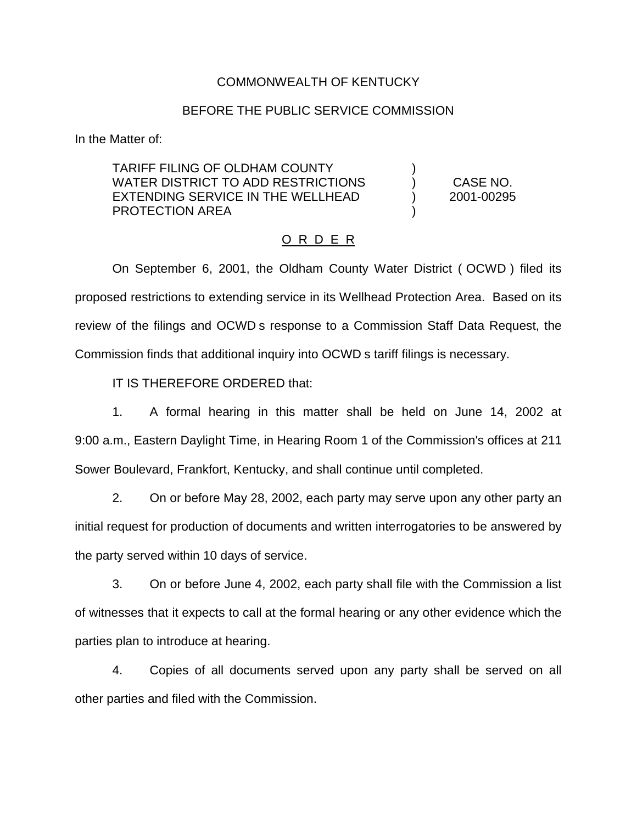## COMMONWEALTH OF KENTUCKY

## BEFORE THE PUBLIC SERVICE COMMISSION

In the Matter of:

TARIFF FILING OF OLDHAM COUNTY ) WATER DISTRICT TO ADD RESTRICTIONS  $\qquad$  ) CASE NO. EXTENDING SERVICE IN THE WELLHEAD (2001-00295) PROTECTION AREA )

## O R D E R

On September 6, 2001, the Oldham County Water District ( OCWD ) filed its proposed restrictions to extending service in its Wellhead Protection Area. Based on its review of the filings and OCWD s response to a Commission Staff Data Request, the Commission finds that additional inquiry into OCWD s tariff filings is necessary.

IT IS THEREFORE ORDERED that:

1. A formal hearing in this matter shall be held on June 14, 2002 at 9:00 a.m., Eastern Daylight Time, in Hearing Room 1 of the Commission's offices at 211 Sower Boulevard, Frankfort, Kentucky, and shall continue until completed.

2. On or before May 28, 2002, each party may serve upon any other party an initial request for production of documents and written interrogatories to be answered by the party served within 10 days of service.

3. On or before June 4, 2002, each party shall file with the Commission a list of witnesses that it expects to call at the formal hearing or any other evidence which the parties plan to introduce at hearing.

4. Copies of all documents served upon any party shall be served on all other parties and filed with the Commission.